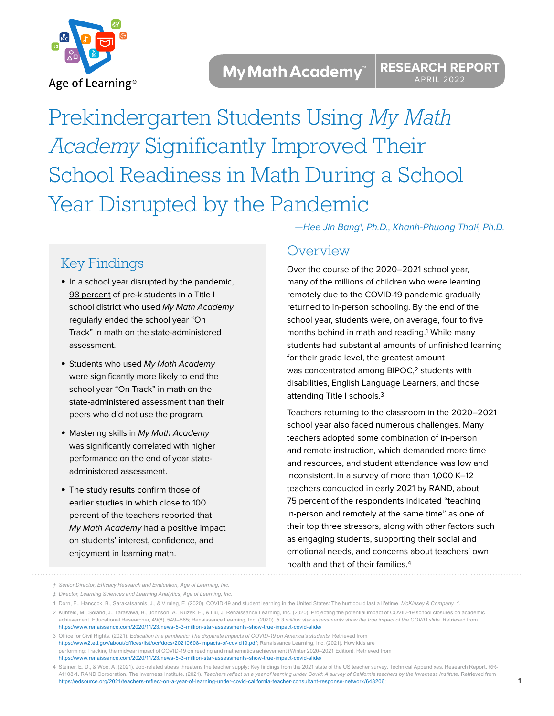

Prekindergarten Students Using *My Math Academy* Significantly Improved Their School Readiness in Math During a School Year Disrupted by the Pandemic

# Key Findings

- **•** In a school year disrupted by the pandemic, 98 percent of pre-k students in a Title I school district who used My Math Academy regularly ended the school year "On Track" in math on the state-administered assessment.
- **•** Students who used My Math Academy were significantly more likely to end the school year "On Track" in math on the state-administered assessment than their peers who did not use the program.
- **•** Mastering skills in My Math Academy was significantly correlated with higher performance on the end of year stateadministered assessment.
- **•** The study results confirm those of earlier studies in which close to 100 percent of the teachers reported that My Math Academy had a positive impact on students' interest, confidence, and enjoyment in learning math.

—Hee Jin Bang†, Ph.D., Khanh-Phuong Thai‡, Ph.D.

## **Overview**

Over the course of the 2020–2021 school year, many of the millions of children who were learning remotely due to the COVID-19 pandemic gradually returned to in-person schooling. By the end of the school year, students were, on average, four to five months behind in math and reading.1 While many students had substantial amounts of unfinished learning for their grade level, the greatest amount was concentrated among BIPOC,<sup>2</sup> students with disabilities, English Language Learners, and those attending Title I schools.3

Teachers returning to the classroom in the 2020–2021 school year also faced numerous challenges. Many teachers adopted some combination of in-person and remote instruction, which demanded more time and resources, and student attendance was low and inconsistent. In a survey of more than 1,000 K–12 teachers conducted in early 2021 by RAND, about 75 percent of the respondents indicated "teaching in-person and remotely at the same time" as one of their top three stressors, along with other factors such as engaging students, supporting their social and emotional needs, and concerns about teachers' own health and that of their families.4

**1**

*<sup>†</sup> Senior Director, Efficacy Research and Evaluation, Age of Learning, Inc.* 

*<sup>‡</sup> Director, Learning Sciences and Learning Analytics, Age of Learning, Inc.*

<sup>1</sup> Dorn, E., Hancock, B., Sarakatsannis, J., & Viruleg, E. (2020). COVID-19 and student learning in the United States: The hurt could last a lifetime. *McKinsey & Company, 1*.

<sup>2</sup> Kuhfeld, M., Soland, J., Tarasawa, B., Johnson, A., Ruzek, E., & Liu, J. Renaissance Learning, Inc. (2020). Projecting the potential impact of COVID-19 school closures on academic achievement. Educational Researcher, 49(8), 549–565; Renaissance Learning, Inc. (2020). *5.3 million star assessments show the true impact of the COVID slide.* Retrieved from https://www.renaissance.com/2020/11/23/news-5-3-million-star-assessments-show-true-impact-covid-slide/

<sup>3</sup> Office for Civil Rights. (2021). *Education in a pandemic: The disparate impacts of COVID-19 on America's students*. Retrieved from https://www2.ed.gov/about/offices/list/ocr/docs/20210608-impacts-of-covid19.pdf; Renaissance Learning, Inc. (2021). How kids are performing: Tracking the midyear impact of COVID-19 on reading and mathematics achievement (Winter 2020–2021 Edition). Retrieved from https://www.renaissance.com/2020/11/23/news-5-3-million-star-assessments-show-true-impact-covid-slide/

<sup>4</sup> Steiner, E. D., & Woo, A. (2021). Job-related stress threatens the teacher supply: Key findings from the 2021 state of the US teacher survey. Technical Appendixes. Research Report. RR-A1108-1. RAND Corporation. The Inverness Institute. (2021). *Teachers reflect on a year of learning under Covid: A survey of California teachers by the Inverness Institute.* Retrieved from https://edsource.org/2021/teachers-reflect-on-a-year-of-learning-under-covid-california-teacher-consultant-response-network/648206;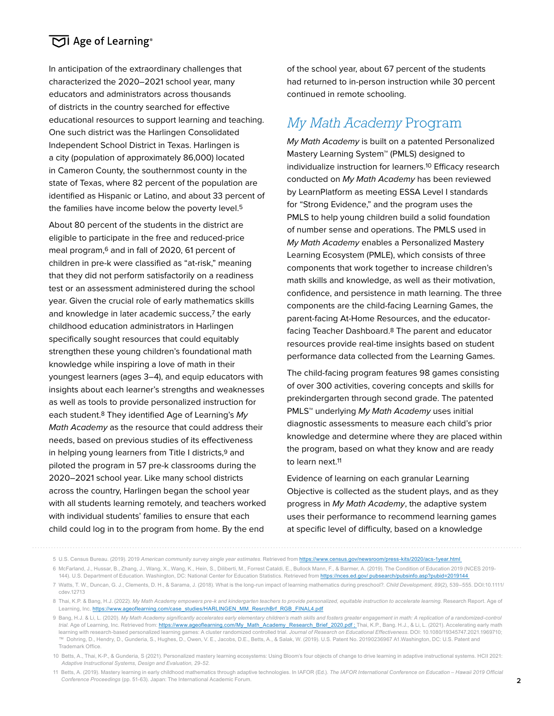In anticipation of the extraordinary challenges that characterized the 2020–2021 school year, many educators and administrators across thousands of districts in the country searched for effective educational resources to support learning and teaching. One such district was the Harlingen Consolidated Independent School District in Texas. Harlingen is a city (population of approximately 86,000) located in Cameron County, the southernmost county in the state of Texas, where 82 percent of the population are identified as Hispanic or Latino, and about 33 percent of the families have income below the poverty level.<sup>5</sup>

About 80 percent of the students in the district are eligible to participate in the free and reduced-price meal program,6 and in fall of 2020, 61 percent of children in pre-k were classified as "at-risk," meaning that they did not perform satisfactorily on a readiness test or an assessment administered during the school year. Given the crucial role of early mathematics skills and knowledge in later academic success,7 the early childhood education administrators in Harlingen specifically sought resources that could equitably strengthen these young children's foundational math knowledge while inspiring a love of math in their youngest learners (ages 3–4), and equip educators with insights about each learner's strengths and weaknesses as well as tools to provide personalized instruction for each student.<sup>8</sup> They identified Age of Learning's My Math Academy as the resource that could address their needs, based on previous studies of its effectiveness in helping young learners from Title I districts,<sup>9</sup> and piloted the program in 57 pre-k classrooms during the 2020–2021 school year. Like many school districts across the country, Harlingen began the school year with all students learning remotely, and teachers worked with individual students' families to ensure that each child could log in to the program from home. By the end

of the school year, about 67 percent of the students had returned to in-person instruction while 30 percent continued in remote schooling.

# *My Math Academy* Program

My Math Academy is built on a patented Personalized Mastery Learning System™ (PMLS) designed to individualize instruction for learners.10 Efficacy research conducted on My Math Academy has been reviewed by LearnPlatform as meeting ESSA Level I standards for "Strong Evidence," and the program uses the PMLS to help young children build a solid foundation of number sense and operations. The PMLS used in My Math Academy enables a Personalized Mastery Learning Ecosystem (PMLE), which consists of three components that work together to increase children's math skills and knowledge, as well as their motivation, confidence, and persistence in math learning. The three components are the child-facing Learning Games, the parent-facing At-Home Resources, and the educatorfacing Teacher Dashboard.8 The parent and educator resources provide real-time insights based on student performance data collected from the Learning Games.

The child-facing program features 98 games consisting of over 300 activities, covering concepts and skills for prekindergarten through second grade. The patented PMLS<sup>™</sup> underlying My Math Academy uses initial diagnostic assessments to measure each child's prior knowledge and determine where they are placed within the program, based on what they know and are ready to learn next.11

Evidence of learning on each granular Learning Objective is collected as the student plays, and as they progress in My Math Academy, the adaptive system uses their performance to recommend learning games at specific level of difficulty, based on a knowledge

<sup>5</sup> U.S. Census Bureau. (2019). 2019 *American community survey single year estimates*. Retrieved from https://www.census.gov/newsroom/press-kits/2020/acs-1year.html

<sup>6</sup> McFarland, J., Hussar, B., Zhang, J., Wang, X., Wang, K., Hein, S., Diliberti, M., Forrest Cataldi, E., Bullock Mann, F., & Barmer, A. (2019). The Condition of Education 2019 (NCES 2019- 144). U.S. Department of Education. Washington, DC: National Center for Education Statistics. Retrieved from https://nces.ed.gov/ pubsearch/pubsinfo.asp?pubid=2019144

<sup>7</sup> Watts, T. W., Duncan, G. J., Clements, D. H., & Sarama, J. (2018). What is the long-run impact of learning mathematics during preschool?. *Child Development, 89*(2), 539–555. DOI:10.1111/ cdev.12713

<sup>8</sup> Thai, K.P. & Bang, H.J. (2022). *My Math Academy empowers pre-k and kindergarten teachers to provide personalized, equitable instruction to accelerate learning.* Research Report. Age of Learning, Inc. https://www.ageoflearning.com/case\_studies/HARLINGEN\_MM\_ResrchBrf\_RGB\_FINAL4.pdf

<sup>9</sup> Bang, H.J. & Li, L. (2020). *My Math Academy significantly accelerates early elementary children's math skills and fosters greater engagement in math: A replication of a randomized-control*  trial. Age of Learning, Inc. Retrieved from: https://www.ageoflearning.com/My\_Math\_Academy\_Research\_Brief\_2020.pdf ; Thai, K.P., Bang. H.J., & Li, L. (2021). Accelerating early math learning with research-based personalized learning games: A cluster randomized controlled trial. *Journal of Research on Educational Effectiveness.* DOI: 10.1080/19345747.2021.1969710; ™ Dohring, D., Hendry, D., Gunderia, S., Hughes, D., Owen, V. E., Jacobs, D.E., Betts, A., & Salak, W. (2019). U.S. Patent No. 20190236967 A1.Washington, DC: U.S. Patent and Trademark Office.

<sup>10</sup> Betts, A., Thai, K-P., & Gunderia, S (2021). Personalized mastery learning ecosystems: Using Bloom's four objects of change to drive learning in adaptive instructional systems. HCII 2021: *Adaptive Instructional Systems, Design and Evaluation, 29-52.*

<sup>11</sup> Betts, A. (2019). Mastery learning in early childhood mathematics through adaptive technologies. In IAFOR (Ed.). *The IAFOR International Conference on Education – Hawaii 2019 Official Conference Proceedings* (pp. 51-63). Japan: The International Academic Forum.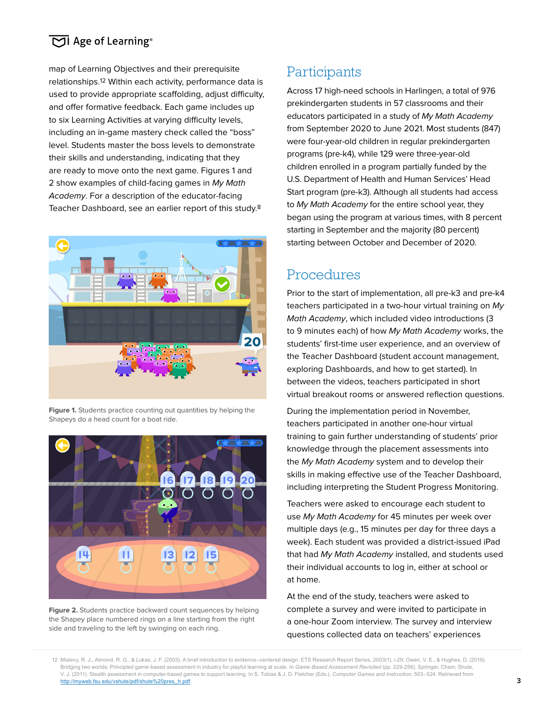map of Learning Objectives and their prerequisite relationships.12 Within each activity, performance data is used to provide appropriate scaffolding, adjust difficulty, and offer formative feedback. Each game includes up to six Learning Activities at varying difficulty levels, including an in-game mastery check called the "boss" level. Students master the boss levels to demonstrate their skills and understanding, indicating that they are ready to move onto the next game. Figures 1 and 2 show examples of child-facing games in My Math Academy. For a description of the educator-facing Teacher Dashboard, see an earlier report of this study.8



**Figure 1.** Students practice counting out quantities by helping the Shapeys do a head count for a boat ride.



**Figure 2.** Students practice backward count sequences by helping the Shapey place numbered rings on a line starting from the right side and traveling to the left by swinging on each ring.

# **Participants**

Across 17 high-need schools in Harlingen, a total of 976 prekindergarten students in 57 classrooms and their educators participated in a study of My Math Academy from September 2020 to June 2021. Most students (847) were four-year-old children in regular prekindergarten programs (pre-k4), while 129 were three-year-old children enrolled in a program partially funded by the U.S. Department of Health and Human Services' Head Start program (pre-k3). Although all students had access to My Math Academy for the entire school year, they began using the program at various times, with 8 percent starting in September and the majority (80 percent) starting between October and December of 2020.

## Procedures

Prior to the start of implementation, all pre-k3 and pre-k4 teachers participated in a two-hour virtual training on My Math Academy, which included video introductions (3 to 9 minutes each) of how My Math Academy works, the students' first-time user experience, and an overview of the Teacher Dashboard (student account management, exploring Dashboards, and how to get started). In between the videos, teachers participated in short virtual breakout rooms or answered reflection questions.

During the implementation period in November, teachers participated in another one-hour virtual training to gain further understanding of students' prior knowledge through the placement assessments into the My Math Academy system and to develop their skills in making effective use of the Teacher Dashboard, including interpreting the Student Progress Monitoring.

Teachers were asked to encourage each student to use My Math Academy for 45 minutes per week over multiple days (e.g., 15 minutes per day for three days a week). Each student was provided a district-issued iPad that had My Math Academy installed, and students used their individual accounts to log in, either at school or at home.

At the end of the study, teachers were asked to complete a survey and were invited to participate in a one-hour Zoom interview. The survey and interview questions collected data on teachers' experiences

<sup>12</sup> Mislevy, R. J., Almond, R. G., & Lukas, J. F. (2003). A brief introduction to evidence–centered design. ETS Research Report Series, 2003(1), i-29; Owen, V. E., & Hughes, D. (2019). Bridging two worlds: Principled game-based assessment in industry for playful learning at scale. In *Game-Based Assessment Revisited* (pp. 229-256). Springer, Cham; Shute, V. J. (2011). Stealth assessment in computer-based games to support learning. In S. Tobias & J. D. Fletcher (Eds.), *Computer Games and Instruction,* 503–524. Retrieved from http://myweb.fsu.edu/vshute/pdf/shute%20pres\_h.pdf;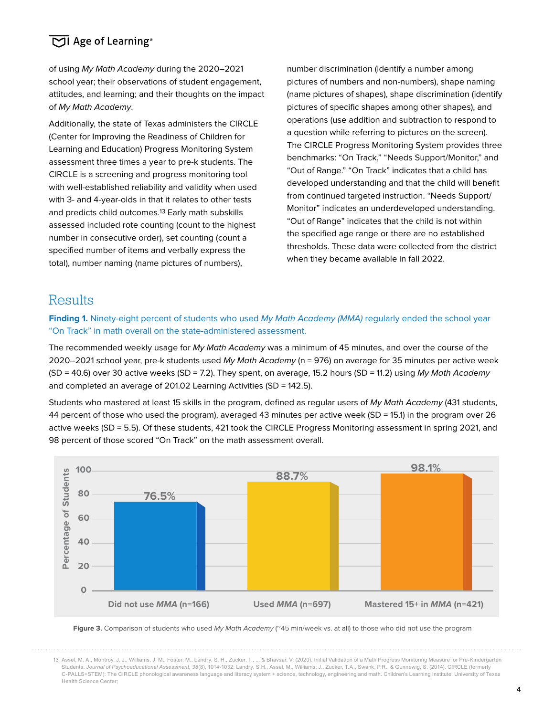of using My Math Academy during the 2020–2021 school year; their observations of student engagement, attitudes, and learning; and their thoughts on the impact of My Math Academy.

Additionally, the state of Texas administers the CIRCLE (Center for Improving the Readiness of Children for Learning and Education) Progress Monitoring System assessment three times a year to pre-k students. The CIRCLE is a screening and progress monitoring tool with well-established reliability and validity when used with 3- and 4-year-olds in that it relates to other tests and predicts child outcomes.13 Early math subskills assessed included rote counting (count to the highest number in consecutive order), set counting (count a specified number of items and verbally express the total), number naming (name pictures of numbers),

number discrimination (identify a number among pictures of numbers and non-numbers), shape naming (name pictures of shapes), shape discrimination (identify pictures of specific shapes among other shapes), and operations (use addition and subtraction to respond to a question while referring to pictures on the screen). The CIRCLE Progress Monitoring System provides three benchmarks: "On Track," "Needs Support/Monitor," and "Out of Range." "On Track" indicates that a child has developed understanding and that the child will benefit from continued targeted instruction. "Needs Support/ Monitor" indicates an underdeveloped understanding. "Out of Range" indicates that the child is not within the specified age range or there are no established thresholds. These data were collected from the district when they became available in fall 2022.

### **Results**

Finding 1. Ninety-eight percent of students who used My Math Academy (MMA) regularly ended the school year "On Track" in math overall on the state-administered assessment.

The recommended weekly usage for My Math Academy was a minimum of 45 minutes, and over the course of the 2020–2021 school year, pre-k students used My Math Academy (n = 976) on average for 35 minutes per active week  $(SD = 40.6)$  over 30 active weeks  $(SD = 7.2)$ . They spent, on average, 15.2 hours  $(SD = 11.2)$  using My Math Academy and completed an average of 201.02 Learning Activities (SD = 142.5).

Students who mastered at least 15 skills in the program, defined as regular users of My Math Academy (431 students, 44 percent of those who used the program), averaged 43 minutes per active week (SD = 15.1) in the program over 26 active weeks (SD = 5.5). Of these students, 421 took the CIRCLE Progress Monitoring assessment in spring 2021, and 98 percent of those scored "On Track" on the math assessment overall.



**Figure 3.** Comparison of students who used My Math Academy (~45 min/week vs. at all) to those who did not use the program

<sup>13</sup> Assel, M. A., Montroy, J. J., Williams, J. M., Foster, M., Landry, S. H., Zucker, T., ... & Bhavsar, V. (2020). Initial Validation of a Math Progress Monitoring Measure for Pre-Kindergarten Students. *Journal of Psychoeducational Assessment, 38*(8), 1014-1032; Landry, S.H., Assel, M., Williams, J., Zucker, T.A., Swank, P.R., & Gunnewig, S. (2014). CIRCLE (formerly C-PALLS+STEM): The CIRCLE phonological awareness language and literacy system + science, technology, engineering and math. Children's Learning Institute: University of Texas Health Science Center;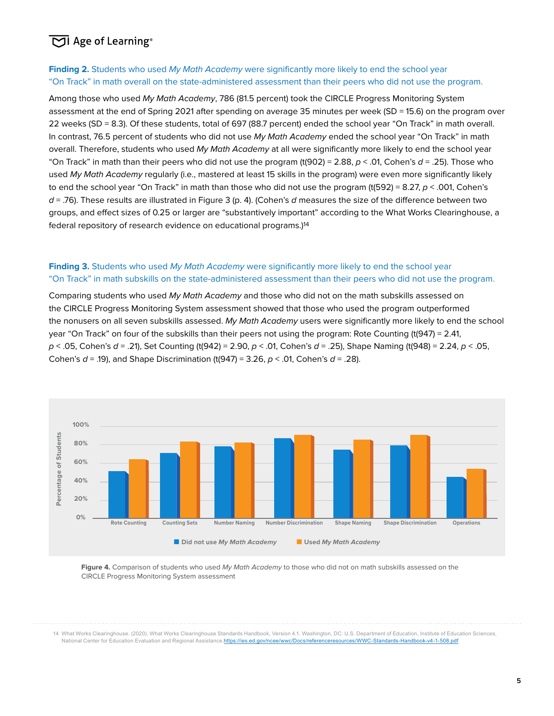#### **Finding 2.** Students who used My Math Academy were significantly more likely to end the school year "On Track" in math overall on the state-administered assessment than their peers who did not use the program.

Among those who used My Math Academy, 786 (81.5 percent) took the CIRCLE Progress Monitoring System assessment at the end of Spring 2021 after spending on average 35 minutes per week (SD = 15.6) on the program over 22 weeks (SD = 8.3). Of these students, total of 697 (88.7 percent) ended the school year "On Track" in math overall. In contrast, 76.5 percent of students who did not use My Math Academy ended the school year "On Track" in math overall. Therefore, students who used My Math Academy at all were significantly more likely to end the school year "On Track" in math than their peers who did not use the program (t(902) = 2.88,  $p < .01$ , Cohen's  $d = .25$ ). Those who used My Math Academy regularly (i.e., mastered at least 15 skills in the program) were even more significantly likely to end the school year "On Track" in math than those who did not use the program (t(592) = 8.27,  $p < .001$ , Cohen's  $d = 0.76$ . These results are illustrated in Figure 3 (p. 4). (Cohen's d measures the size of the difference between two groups, and effect sizes of 0.25 or larger are "substantively important" according to the What Works Clearinghouse, a federal repository of research evidence on educational programs.)14

#### **Finding 3.** Students who used My Math Academy were significantly more likely to end the school year "On Track" in math subskills on the state-administered assessment than their peers who did not use the program.

Comparing students who used My Math Academy and those who did not on the math subskills assessed on the CIRCLE Progress Monitoring System assessment showed that those who used the program outperformed the nonusers on all seven subskills assessed. My Math Academy users were significantly more likely to end the school year "On Track" on four of the subskills than their peers not using the program: Rote Counting (t(947) = 2.41,  $p < .05$ , Cohen's  $d = .21$ , Set Counting (t(942) = 2.90,  $p < .01$ , Cohen's  $d = .25$ ), Shape Naming (t(948) = 2.24,  $p < .05$ , Cohen's  $d = .19$ ), and Shape Discrimination (t(947) = 3.26,  $p < .01$ , Cohen's  $d = .28$ ).



Figure 4. Comparison of students who used My Math Academy to those who did not on math subskills assessed on the CIRCLE Progress Monitoring System assessment

14 What Works Clearinghouse. (2020). What Works Clearinghouse Standards Handbook, Version 4.1. Washington, DC: U.S. Department of Education, Institute of Education Sciences, National Center for Education Evaluation and Regional Assistance.https://ies.ed.gov/ncee/wwc/Docs/referenceresources/WWC-Standards-Handbook-v4-1-508.pdf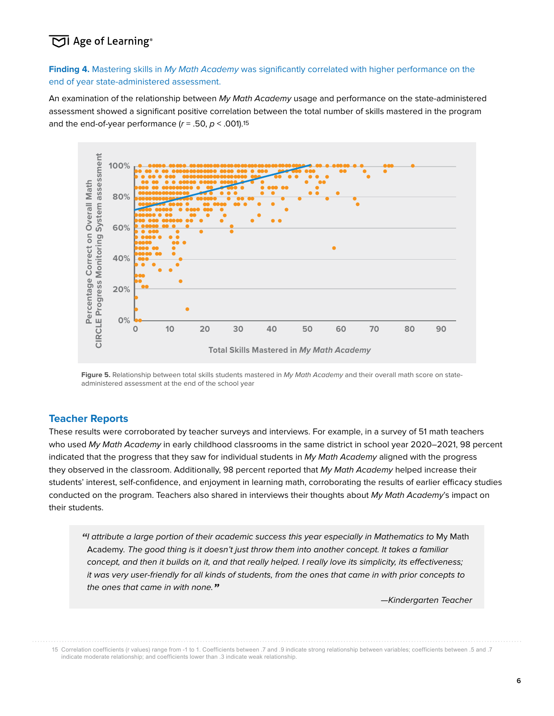Finding 4. Mastering skills in My Math Academy was significantly correlated with higher performance on the end of year state-administered assessment.

An examination of the relationship between My Math Academy usage and performance on the state-administered assessment showed a significant positive correlation between the total number of skills mastered in the program and the end-of-year performance ( $r = .50$ ,  $p < .001$ ).<sup>15</sup>



Figure 5. Relationship between total skills students mastered in My Math Academy and their overall math score on stateadministered assessment at the end of the school year

#### **Teacher Reports**

These results were corroborated by teacher surveys and interviews. For example, in a survey of 51 math teachers who used My Math Academy in early childhood classrooms in the same district in school year 2020–2021, 98 percent indicated that the progress that they saw for individual students in My Math Academy aligned with the progress they observed in the classroom. Additionally, 98 percent reported that My Math Academy helped increase their students' interest, self-confidence, and enjoyment in learning math, corroborating the results of earlier efficacy studies conducted on the program. Teachers also shared in interviews their thoughts about My Math Academy's impact on their students.

**"**I attribute a large portion of their academic success this year especially in Mathematics to My Math Academy. The good thing is it doesn't just throw them into another concept. It takes a familiar concept, and then it builds on it, and that really helped. I really love its simplicity, its effectiveness; it was very user-friendly for all kinds of students, from the ones that came in with prior concepts to the ones that came in with none.**"**

15 Correlation coefficients (r values) range from -1 to 1. Coefficients between .7 and .9 indicate strong relationship between variables; coefficients between .5 and .7 indicate moderate relationship; and coefficients lower than .3 indicate weak relationship.